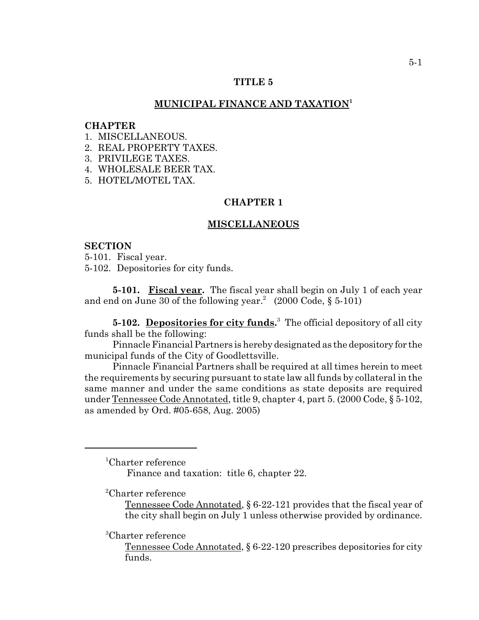## **TITLE 5**

## **MUNICIPAL FINANCE AND TAXATION1**

#### **CHAPTER**

- 1. MISCELLANEOUS.
- 2. REAL PROPERTY TAXES.
- 3. PRIVILEGE TAXES.
- 4. WHOLESALE BEER TAX.
- 5. HOTEL/MOTEL TAX.

# **CHAPTER 1**

### **MISCELLANEOUS**

#### **SECTION**

5-101. Fiscal year.

5-102. Depositories for city funds.

**5-101. Fiscal year.** The fiscal year shall begin on July 1 of each year and end on June 30 of the following year.<sup>2</sup> (2000 Code, § 5-101)

**5-102.** Depositories for city funds.<sup>3</sup> The official depository of all city funds shall be the following:

Pinnacle Financial Partners is hereby designated as the depository for the municipal funds of the City of Goodlettsville.

Pinnacle Financial Partners shall be required at all times herein to meet the requirements by securing pursuant to state law all funds by collateral in the same manner and under the same conditions as state deposits are required under Tennessee Code Annotated, title 9, chapter 4, part 5. (2000 Code, § 5-102, as amended by Ord. #05-658, Aug. 2005)

<sup>1</sup> Charter reference

Finance and taxation: title 6, chapter 22.

<sup>2</sup> Charter reference

Tennessee Code Annotated, § 6-22-121 provides that the fiscal year of the city shall begin on July 1 unless otherwise provided by ordinance.

<sup>3</sup> Charter reference

Tennessee Code Annotated, § 6-22-120 prescribes depositories for city funds.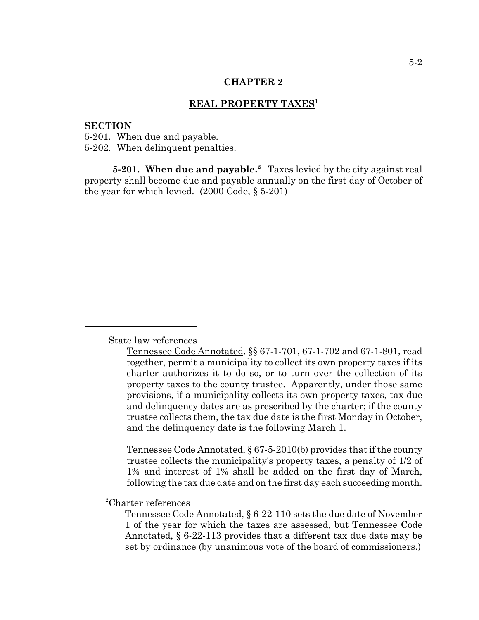# **REAL PROPERTY TAXES**<sup>1</sup>

#### **SECTION**

5-201. When due and payable. 5-202. When delinquent penalties.

**5-201.** When due and payable.<sup>2</sup> Taxes levied by the city against real property shall become due and payable annually on the first day of October of the year for which levied. (2000 Code, § 5-201)

Tennessee Code Annotated, § 67-5-2010(b) provides that if the county trustee collects the municipality's property taxes, a penalty of 1/2 of 1% and interest of 1% shall be added on the first day of March, following the tax due date and on the first day each succeeding month.

<sup>2</sup> Charter references

Tennessee Code Annotated, § 6-22-110 sets the due date of November 1 of the year for which the taxes are assessed, but Tennessee Code Annotated, § 6-22-113 provides that a different tax due date may be set by ordinance (by unanimous vote of the board of commissioners.)

<sup>1</sup> State law references

Tennessee Code Annotated, §§ 67-1-701, 67-1-702 and 67-1-801, read together, permit a municipality to collect its own property taxes if its charter authorizes it to do so, or to turn over the collection of its property taxes to the county trustee. Apparently, under those same provisions, if a municipality collects its own property taxes, tax due and delinquency dates are as prescribed by the charter; if the county trustee collects them, the tax due date is the first Monday in October, and the delinquency date is the following March 1.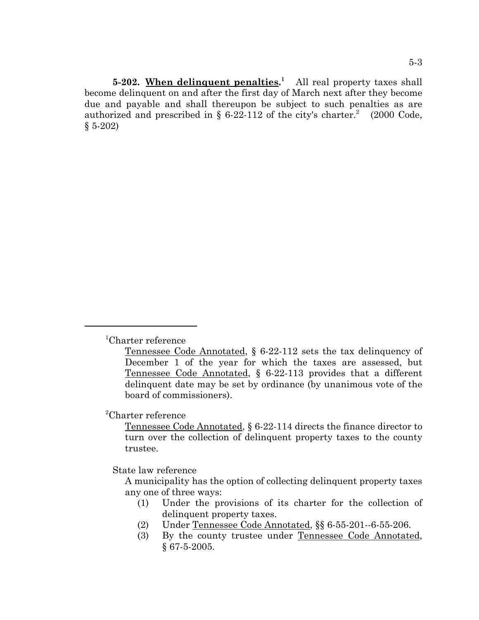**5-202.** When delinquent penalties.<sup>1</sup> All real property taxes shall become delinquent on and after the first day of March next after they become due and payable and shall thereupon be subject to such penalties as are authorized and prescribed in § 6-22-112 of the city's charter.<sup>2</sup> (2000 Code,  $$5-202)$ 

<sup>2</sup> Charter reference

Tennessee Code Annotated, § 6-22-114 directs the finance director to turn over the collection of delinquent property taxes to the county trustee.

State law reference

A municipality has the option of collecting delinquent property taxes any one of three ways:

- (1) Under the provisions of its charter for the collection of delinquent property taxes.
- (2) Under Tennessee Code Annotated, §§ 6-55-201--6-55-206.
- (3) By the county trustee under Tennessee Code Annotated, § 67-5-2005.

<sup>1</sup> Charter reference

Tennessee Code Annotated, § 6-22-112 sets the tax delinquency of December 1 of the year for which the taxes are assessed, but Tennessee Code Annotated, § 6-22-113 provides that a different delinquent date may be set by ordinance (by unanimous vote of the board of commissioners).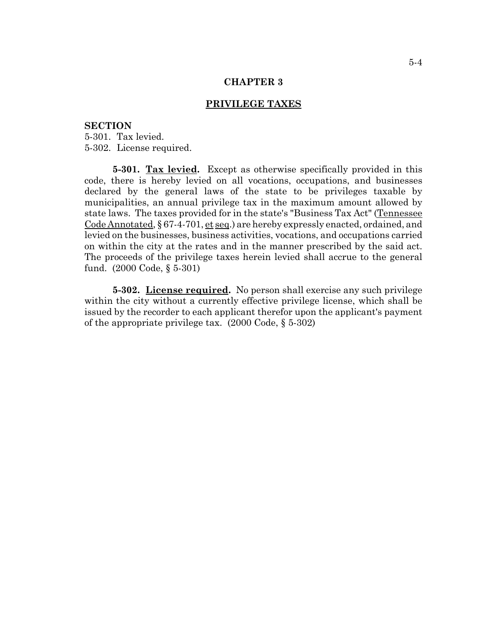## **PRIVILEGE TAXES**

#### **SECTION**

5-301. Tax levied. 5-302. License required.

**5-301. Tax levied.** Except as otherwise specifically provided in this code, there is hereby levied on all vocations, occupations, and businesses declared by the general laws of the state to be privileges taxable by municipalities, an annual privilege tax in the maximum amount allowed by state laws. The taxes provided for in the state's "Business Tax Act" (Tennessee Code Annotated, § 67-4-701, et seq.) are hereby expressly enacted, ordained, and levied on the businesses, business activities, vocations, and occupations carried on within the city at the rates and in the manner prescribed by the said act. The proceeds of the privilege taxes herein levied shall accrue to the general fund. (2000 Code, § 5-301)

**5-302.** License required. No person shall exercise any such privilege within the city without a currently effective privilege license, which shall be issued by the recorder to each applicant therefor upon the applicant's payment of the appropriate privilege tax. (2000 Code, § 5-302)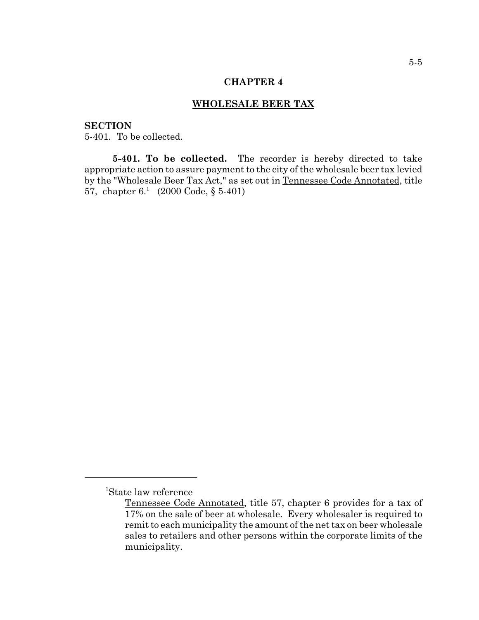### **WHOLESALE BEER TAX**

## **SECTION**

5-401. To be collected.

5-401. To be collected. The recorder is hereby directed to take appropriate action to assure payment to the city of the wholesale beer tax levied by the "Wholesale Beer Tax Act," as set out in Tennessee Code Annotated, title 57, chapter  $6<sup>1</sup>$  (2000 Code, § 5-401)

<sup>1</sup> State law reference

Tennessee Code Annotated, title 57, chapter 6 provides for a tax of 17% on the sale of beer at wholesale. Every wholesaler is required to remit to each municipality the amount of the net tax on beer wholesale sales to retailers and other persons within the corporate limits of the municipality.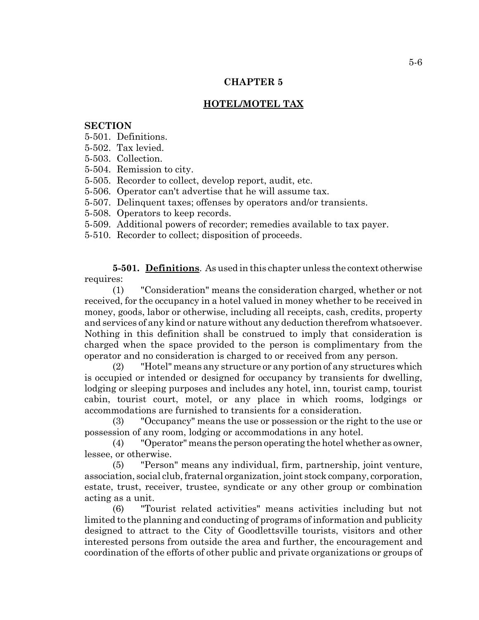# **HOTEL/MOTEL TAX**

### **SECTION**

5-501. Definitions.

- 5-502. Tax levied.
- 5-503. Collection.
- 5-504. Remission to city.

5-505. Recorder to collect, develop report, audit, etc.

- 5-506. Operator can't advertise that he will assume tax.
- 5-507. Delinquent taxes; offenses by operators and/or transients.
- 5-508. Operators to keep records.
- 5-509. Additional powers of recorder; remedies available to tax payer.
- 5-510. Recorder to collect; disposition of proceeds.

**5-501. Definitions**. As used in this chapter unless the context otherwise requires:

(1) "Consideration" means the consideration charged, whether or not received, for the occupancy in a hotel valued in money whether to be received in money, goods, labor or otherwise, including all receipts, cash, credits, property and services of any kind or nature without any deduction therefrom whatsoever. Nothing in this definition shall be construed to imply that consideration is charged when the space provided to the person is complimentary from the operator and no consideration is charged to or received from any person.

(2) "Hotel" means any structure or any portion of any structures which is occupied or intended or designed for occupancy by transients for dwelling, lodging or sleeping purposes and includes any hotel, inn, tourist camp, tourist cabin, tourist court, motel, or any place in which rooms, lodgings or accommodations are furnished to transients for a consideration.

(3) "Occupancy" means the use or possession or the right to the use or possession of any room, lodging or accommodations in any hotel.

(4) "Operator" means the person operating the hotel whether as owner, lessee, or otherwise.

(5) "Person" means any individual, firm, partnership, joint venture, association, social club, fraternal organization, joint stock company, corporation, estate, trust, receiver, trustee, syndicate or any other group or combination acting as a unit.

(6) "Tourist related activities" means activities including but not limited to the planning and conducting of programs of information and publicity designed to attract to the City of Goodlettsville tourists, visitors and other interested persons from outside the area and further, the encouragement and coordination of the efforts of other public and private organizations or groups of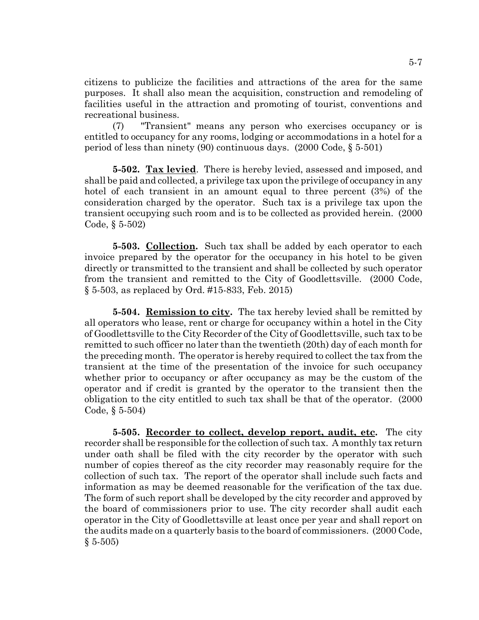citizens to publicize the facilities and attractions of the area for the same purposes. It shall also mean the acquisition, construction and remodeling of facilities useful in the attraction and promoting of tourist, conventions and recreational business.

(7) "Transient" means any person who exercises occupancy or is entitled to occupancy for any rooms, lodging or accommodations in a hotel for a period of less than ninety (90) continuous days. (2000 Code, § 5-501)

**5-502. Tax levied**. There is hereby levied, assessed and imposed, and shall be paid and collected, a privilege tax upon the privilege of occupancy in any hotel of each transient in an amount equal to three percent (3%) of the consideration charged by the operator. Such tax is a privilege tax upon the transient occupying such room and is to be collected as provided herein. (2000 Code, § 5-502)

**5-503. Collection.** Such tax shall be added by each operator to each invoice prepared by the operator for the occupancy in his hotel to be given directly or transmitted to the transient and shall be collected by such operator from the transient and remitted to the City of Goodlettsville. (2000 Code, § 5-503, as replaced by Ord. #15-833, Feb. 2015)

**5-504. Remission to city.** The tax hereby levied shall be remitted by all operators who lease, rent or charge for occupancy within a hotel in the City of Goodlettsville to the City Recorder of the City of Goodlettsville, such tax to be remitted to such officer no later than the twentieth (20th) day of each month for the preceding month. The operator is hereby required to collect the tax from the transient at the time of the presentation of the invoice for such occupancy whether prior to occupancy or after occupancy as may be the custom of the operator and if credit is granted by the operator to the transient then the obligation to the city entitled to such tax shall be that of the operator. (2000 Code, § 5-504)

**5-505. Recorder to collect, develop report, audit, etc.** The city recorder shall be responsible for the collection of such tax. A monthly tax return under oath shall be filed with the city recorder by the operator with such number of copies thereof as the city recorder may reasonably require for the collection of such tax. The report of the operator shall include such facts and information as may be deemed reasonable for the verification of the tax due. The form of such report shall be developed by the city recorder and approved by the board of commissioners prior to use. The city recorder shall audit each operator in the City of Goodlettsville at least once per year and shall report on the audits made on a quarterly basis to the board of commissioners. (2000 Code,  $§ 5-505)$